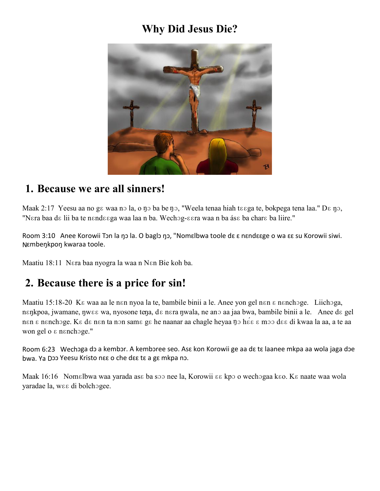## **Why Did Jesus Die?**



#### **1. Because we are all sinners!**

Maak 2:17 Yeesu aa no gɛ waa nɔ la, o ŋɔ ba be ŋɔ, "Weela tenaa hiah tɛɛga te, bokpega tena laa." Dɛ ŋɔ, "Nɛra baa dɛ lii ba te nɛndɛɛga waa laa n ba. Wechɔg-ɛɛra waa n ba ásɛ ba charɛ ba liire."

Room 3:10 Anee Korowii Ton la ŋɔ la. O baglɔ ŋɔ, "Nomɛlbwa toole dɛ ɛ nɛndɛɛge o wa ɛɛ su Korowii siwi. Nɛmbeŋkpoŋ kwaraa toole.

Maatiu 18:11 Nɛra baa nyogra la waa n Nɛn Bie koh ba.

#### **2. Because there is a price for sin!**

Maatiu 15:18-20 Kɛ waa aa le nɛn nyoa la te, bambile binii a le. Anee yon gel nɛn ɛ nɛnchɔge. Liichɔga, nɛnkpoa, jwamane, nwɛɛ wa, nyosone teŋa, dɛ nɛra nwala, ne anɔ aa jaa bwa, bambile binii a le. Anee dɛ gel nɛn ɛ nɛnchɔge. Kɛ dɛ nɛn ta nɔn samɛ gɛ he naanar aa chagle heyaa nɔ hɛ́ɛ ɛ mɔɔ dɛɛ di kwaa la aa, a te aa won gel o ɛ nɛnchɔge."

Room 6:23 Wechoga dɔ a kembɔr. A kembɔree seo. Asɛ kon Korowii ge aa dɛ tɛ laanee mkpa aa wola jaga dɔe bwa. Ya Dɔɔ Yeesu Kristo nɛɛ o che dɛɛ tɛ a gɛ mkpa nɔ.

Maak 16:16 Nomɛlbwa waa yarada asɛ ba sɔɔ nee la, Korowii ɛɛ kpɔ o wechɔgaa kɛo. Kɛ naate waa wola yaradae la, wɛɛ di bolchɔgee.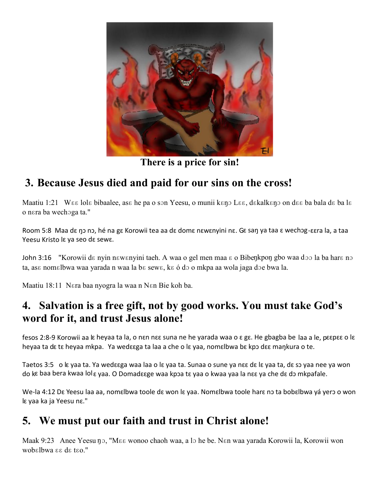

**There is a price for sin!**

## **3. Because Jesus died and paid for our sins on the cross!**

Maatiu 1:21 Wɛɛ lolɛ bibaalee, asɛ he pa o sɔn Yeesu, o munii kɛŋɔ Lɛɛ, dɛkalkɛŋɔ on dɛɛ ba bala dɛ ba lɛ o nɛra ba wechɔga ta."

Room 5:8 Maa de ŋɔ nɔ, hé na gɛ Korowii tea aa dɛ domɛ nɛwɛnyini nɛ. Gɛ saŋ ya taa ɛ wechɔg-ɛɛra la, a taa Yeesu Kristo lε ya seo dε sewε.

John 3:16 "Korowii dε nyin nεwεnyini taeh. A waa o gel men maa ε o Biben kpon gbo waa doo la ba harε no ta, asɛ nomɛlbwa waa yarada n waa la bɛ sewɛ, kɛ ó dɔ o mkpa aa wola jaga dɔe bwa la.

Maatiu 18:11 Nɛra baa nyogra la waa n Nɛn Bie koh ba.

#### **4. Salvation is a free gift, not by good works. You must take God's word for it, and trust Jesus alone!**

fesos 2:8-9 Korowii aa lɛ heyaa ta la, o nɛn nɛɛ suna ne he yarada waa o ɛ gɛ. He gbagba be laa a le, pɛɛpɛɛ o lɛ heyaa ta dɛ tɛ heyaa mkpa. Ya wedɛɛga ta laa a che o lɛ yaa, nomɛlbwa bɛ kpɔ dɛɛ maŋkura o te.

Taetos 3:5 o lɛ yaa ta. Ya wedɛɛga waa laa o lɛ yaa ta. Sunaa o sune ya nɛɛ dɛ lɛ yaa ta, dɛ sɔ yaa nee ya won do kɛ baa bera kwaa lolɛ yaa. O Domadɛɛge waa kpɔa tɛ yaa o kwaa yaa la nɛɛ ya che dɛ dɔ mkpafale.

We-la 4:12 Dɛ Yeesu laa aa, nomɛlbwa toole dɛ won lɛ yaa. Nomɛlbwa toole harɛ nɔ ta bobɛlbwa yá yerɔ o won lɛ yaa ka ja Yeesu nɛ."

# **5. We must put our faith and trust in Christ alone!**

Maak 9:23 Anee Yeesu ŋɔ, "Mɛɛ wonoo chaoh waa, a lɔ he be. Nɛn waa yarada Korowii la, Korowii won wobɛlbwa ɛɛ dɛ tɛo."